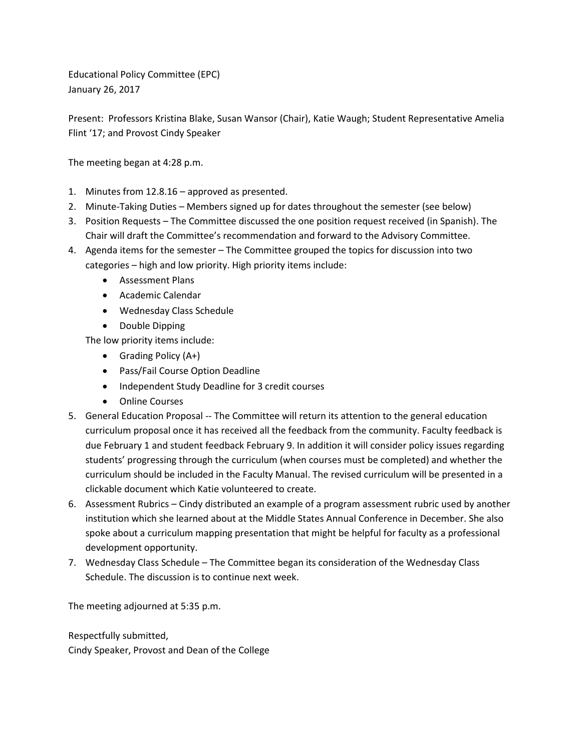Educational Policy Committee (EPC) January 26, 2017

Present: Professors Kristina Blake, Susan Wansor (Chair), Katie Waugh; Student Representative Amelia Flint '17; and Provost Cindy Speaker

The meeting began at 4:28 p.m.

- 1. Minutes from 12.8.16 approved as presented.
- 2. Minute-Taking Duties Members signed up for dates throughout the semester (see below)
- 3. Position Requests The Committee discussed the one position request received (in Spanish). The Chair will draft the Committee's recommendation and forward to the Advisory Committee.
- 4. Agenda items for the semester The Committee grouped the topics for discussion into two categories – high and low priority. High priority items include:
	- Assessment Plans
	- Academic Calendar
	- Wednesday Class Schedule
	- Double Dipping

The low priority items include:

- Grading Policy (A+)
- Pass/Fail Course Option Deadline
- Independent Study Deadline for 3 credit courses
- Online Courses
- 5. General Education Proposal -- The Committee will return its attention to the general education curriculum proposal once it has received all the feedback from the community. Faculty feedback is due February 1 and student feedback February 9. In addition it will consider policy issues regarding students' progressing through the curriculum (when courses must be completed) and whether the curriculum should be included in the Faculty Manual. The revised curriculum will be presented in a clickable document which Katie volunteered to create.
- 6. Assessment Rubrics Cindy distributed an example of a program assessment rubric used by another institution which she learned about at the Middle States Annual Conference in December. She also spoke about a curriculum mapping presentation that might be helpful for faculty as a professional development opportunity.
- 7. Wednesday Class Schedule The Committee began its consideration of the Wednesday Class Schedule. The discussion is to continue next week.

The meeting adjourned at 5:35 p.m.

Respectfully submitted, Cindy Speaker, Provost and Dean of the College